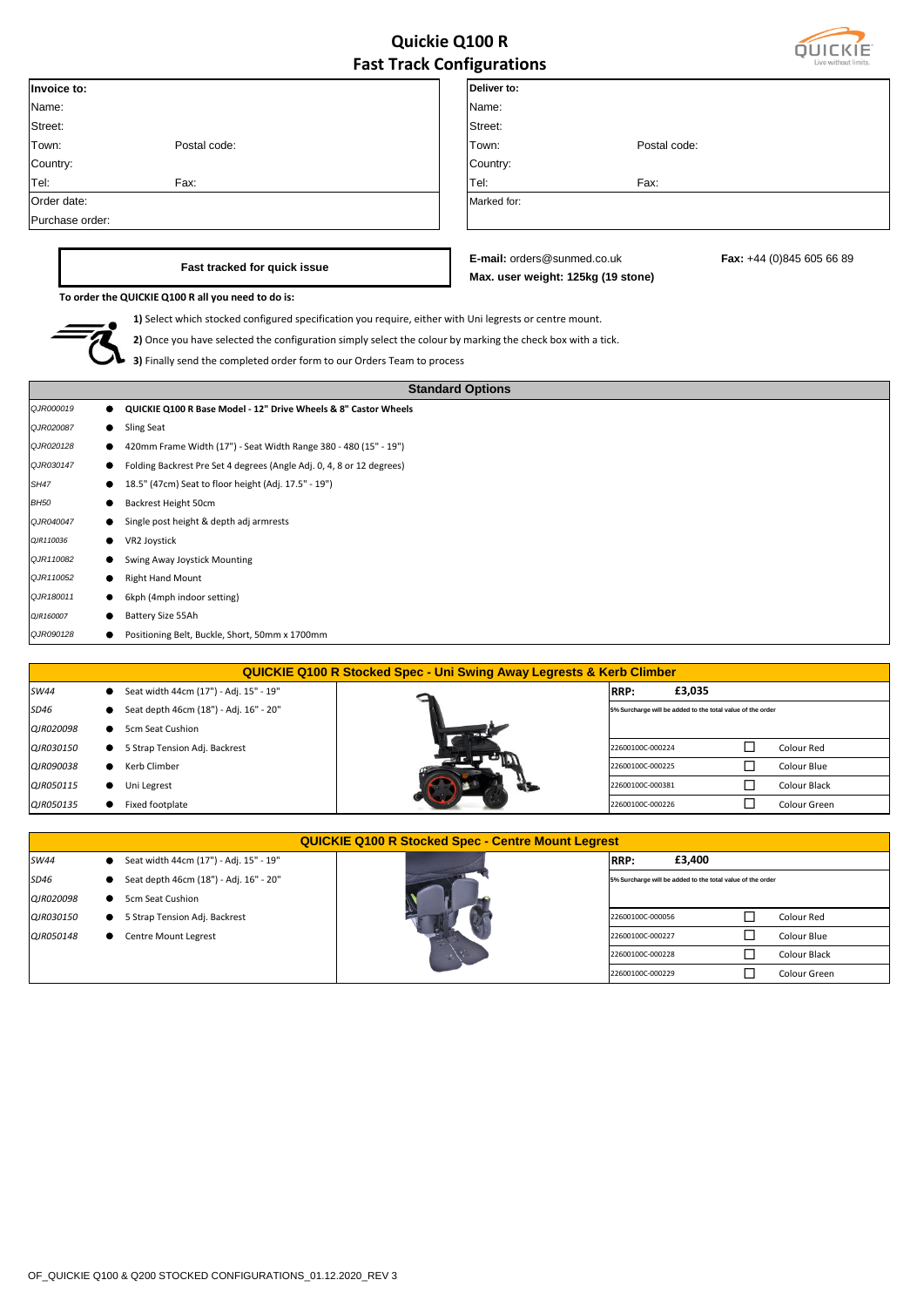## **Quickie Q100 R Fast Track Configurations**



|                 |                                                                                                            | ast mach comparations              |              |                           |
|-----------------|------------------------------------------------------------------------------------------------------------|------------------------------------|--------------|---------------------------|
| Invoice to:     |                                                                                                            | Deliver to:                        |              |                           |
| Name:           |                                                                                                            | Name:                              |              |                           |
| Street:         |                                                                                                            | Street:                            |              |                           |
| Town:           | Postal code:                                                                                               | Town:                              | Postal code: |                           |
| Country:        |                                                                                                            | Country:                           |              |                           |
| Tel:            | Fax:                                                                                                       | Tel:                               | Fax:         |                           |
| Order date:     |                                                                                                            | Marked for:                        |              |                           |
| Purchase order: |                                                                                                            |                                    |              |                           |
|                 |                                                                                                            |                                    |              |                           |
|                 | Fast tracked for quick issue                                                                               | E-mail: orders@sunmed.co.uk        |              | Fax: +44 (0)845 605 66 89 |
|                 |                                                                                                            | Max. user weight: 125kg (19 stone) |              |                           |
|                 | To order the QUICKIE Q100 R all you need to do is:                                                         |                                    |              |                           |
|                 | 1) Select which stocked configured specification you require, either with Uni legrests or centre mount.    |                                    |              |                           |
|                 | 2) Once you have selected the configuration simply select the colour by marking the check box with a tick. |                                    |              |                           |
|                 | 3) Finally send the completed order form to our Orders Team to process                                     |                                    |              |                           |
|                 |                                                                                                            |                                    |              |                           |
|                 |                                                                                                            | <b>Standard Options</b>            |              |                           |
| QJR000019<br>●  | QUICKIE Q100 R Base Model - 12" Drive Wheels & 8" Castor Wheels                                            |                                    |              |                           |
| QJR020087       | Sling Seat                                                                                                 |                                    |              |                           |
| QJR020128       | 420mm Frame Width (17") - Seat Width Range 380 - 480 (15" - 19")                                           |                                    |              |                           |
| QJR030147       | Folding Backrest Pre Set 4 degrees (Angle Adj. 0, 4, 8 or 12 degrees)                                      |                                    |              |                           |
| <b>SH47</b>     | 18.5" (47cm) Seat to floor height (Adj. 17.5" - 19")                                                       |                                    |              |                           |
| <b>BH50</b>     | Backrest Height 50cm                                                                                       |                                    |              |                           |
| QJR040047       | Single post height & depth adj armrests                                                                    |                                    |              |                           |
| QJR110036       | VR2 Joystick                                                                                               |                                    |              |                           |
| QJR110082       | Swing Away Joystick Mounting                                                                               |                                    |              |                           |
| QJR110052       | <b>Right Hand Mount</b>                                                                                    |                                    |              |                           |
| QJR180011       | 6kph (4mph indoor setting)                                                                                 |                                    |              |                           |
| QJR160007       | Battery Size 55Ah                                                                                          |                                    |              |                           |
| QJR090128       | Positioning Belt, Buckle, Short, 50mm x 1700mm                                                             |                                    |              |                           |
|                 |                                                                                                            |                                    |              |                           |
|                 | <b>QUICKIE Q100 R Stocked Spec - Uni Swing Away Legrests &amp; Kerb Climber</b>                            |                                    |              |                           |
| C11111          | $C_{n+1}$ , $dA_{n+1}$ , $dA_{n+2}$ , $dA_{n+1}$ , $dA_{n+1}$ , $dA_{n+1}$ , $dA_{n+1}$                    | lonn.                              | <b>CO CL</b> |                           |

| SW44      | Seat width 44cm (17") - Adj. 15" - 19" | £3,035<br><b>RRP:</b>                                      |              |
|-----------|----------------------------------------|------------------------------------------------------------|--------------|
| SD46      | Seat depth 46cm (18") - Adj. 16" - 20" | 5% Surcharge will be added to the total value of the order |              |
| QJR020098 | 5cm Seat Cushion                       |                                                            |              |
| QJR030150 | 5 Strap Tension Adj. Backrest          | 22600100C-000224                                           | Colour Red   |
| QJR090038 | Kerb Climber                           | 22600100C-000225                                           | Colour Blue  |
| QJR050115 | Uni Legrest                            | 22600100C-000381                                           | Colour Black |
| QJR050135 | Fixed footplate                        | 22600100C-000226                                           | Colour Green |
|           |                                        |                                                            |              |

|           |                                        | <b>QUICKIE Q100 R Stocked Spec - Centre Mount Legrest</b>  |
|-----------|----------------------------------------|------------------------------------------------------------|
| SW44      | Seat width 44cm (17") - Adj. 15" - 19" | £3,400<br>RRP:                                             |
| SD46      | Seat depth 46cm (18") - Adj. 16" - 20" | 5% Surcharge will be added to the total value of the order |
| QJR020098 | 5cm Seat Cushion                       |                                                            |
| QJR030150 | 5 Strap Tension Adj. Backrest          | Colour Red<br>22600100C-000056                             |
| QJR050148 | Centre Mount Legrest                   | 22600100C-000227<br>Colour Blue                            |
|           |                                        | Colour Black<br>22600100C-000228                           |
|           |                                        | Colour Green<br>22600100C-000229                           |